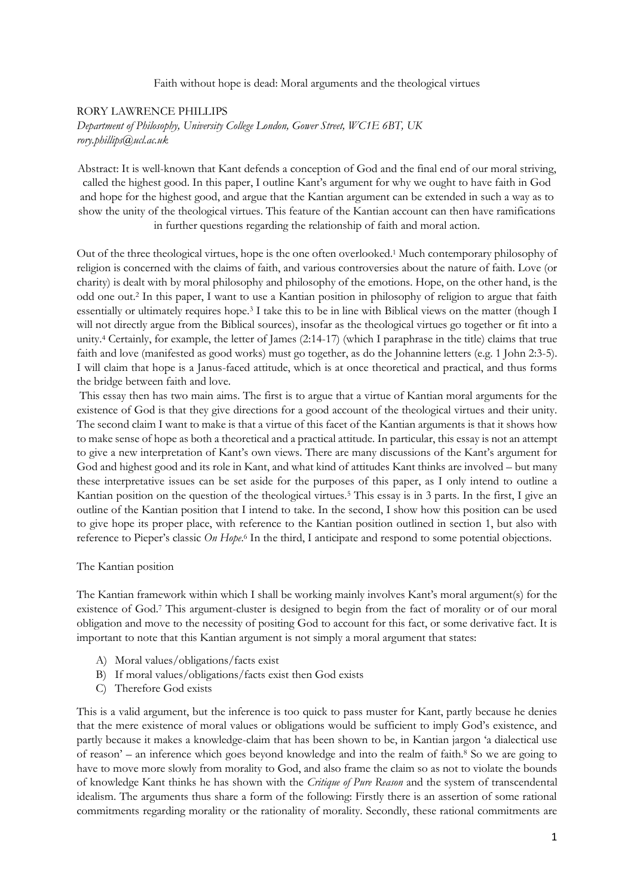Faith without hope is dead: Moral arguments and the theological virtues

# RORY LAWRENCE PHILLIPS *Department of Philosophy, University College London, Gower Street, WC1E 6BT, UK rory.phillips@ucl.ac.uk*

Abstract: It is well-known that Kant defends a conception of God and the final end of our moral striving, called the highest good. In this paper, I outline Kant's argument for why we ought to have faith in God and hope for the highest good, and argue that the Kantian argument can be extended in such a way as to show the unity of the theological virtues. This feature of the Kantian account can then have ramifications in further questions regarding the relationship of faith and moral action.

Out of the three theological virtues, hope is the one often overlooked.<sup>1</sup> Much contemporary philosophy of religion is concerned with the claims of faith, and various controversies about the nature of faith. Love (or charity) is dealt with by moral philosophy and philosophy of the emotions. Hope, on the other hand, is the odd one out.<sup>2</sup> In this paper, I want to use a Kantian position in philosophy of religion to argue that faith essentially or ultimately requires hope.<sup>3</sup> I take this to be in line with Biblical views on the matter (though I will not directly argue from the Biblical sources), insofar as the theological virtues go together or fit into a unity.<sup>4</sup> Certainly, for example, the letter of James (2:14-17) (which I paraphrase in the title) claims that true faith and love (manifested as good works) must go together, as do the Johannine letters (e.g. 1 John 2:3-5). I will claim that hope is a Janus-faced attitude, which is at once theoretical and practical, and thus forms the bridge between faith and love.

This essay then has two main aims. The first is to argue that a virtue of Kantian moral arguments for the existence of God is that they give directions for a good account of the theological virtues and their unity. The second claim I want to make is that a virtue of this facet of the Kantian arguments is that it shows how to make sense of hope as both a theoretical and a practical attitude. In particular, this essay is not an attempt to give a new interpretation of Kant's own views. There are many discussions of the Kant's argument for God and highest good and its role in Kant, and what kind of attitudes Kant thinks are involved – but many these interpretative issues can be set aside for the purposes of this paper, as I only intend to outline a Kantian position on the question of the theological virtues.<sup>5</sup> This essay is in 3 parts. In the first, I give an outline of the Kantian position that I intend to take. In the second, I show how this position can be used to give hope its proper place, with reference to the Kantian position outlined in section 1, but also with reference to Pieper's classic *On Hope*.<sup>6</sup> In the third, I anticipate and respond to some potential objections.

### The Kantian position

The Kantian framework within which I shall be working mainly involves Kant's moral argument(s) for the existence of God.<sup>7</sup> This argument-cluster is designed to begin from the fact of morality or of our moral obligation and move to the necessity of positing God to account for this fact, or some derivative fact. It is important to note that this Kantian argument is not simply a moral argument that states:

- A) Moral values/obligations/facts exist
- B) If moral values/obligations/facts exist then God exists
- C) Therefore God exists

This is a valid argument, but the inference is too quick to pass muster for Kant, partly because he denies that the mere existence of moral values or obligations would be sufficient to imply God's existence, and partly because it makes a knowledge-claim that has been shown to be, in Kantian jargon 'a dialectical use of reason' – an inference which goes beyond knowledge and into the realm of faith.<sup>8</sup> So we are going to have to move more slowly from morality to God, and also frame the claim so as not to violate the bounds of knowledge Kant thinks he has shown with the *Critique of Pure Reason* and the system of transcendental idealism. The arguments thus share a form of the following: Firstly there is an assertion of some rational commitments regarding morality or the rationality of morality. Secondly, these rational commitments are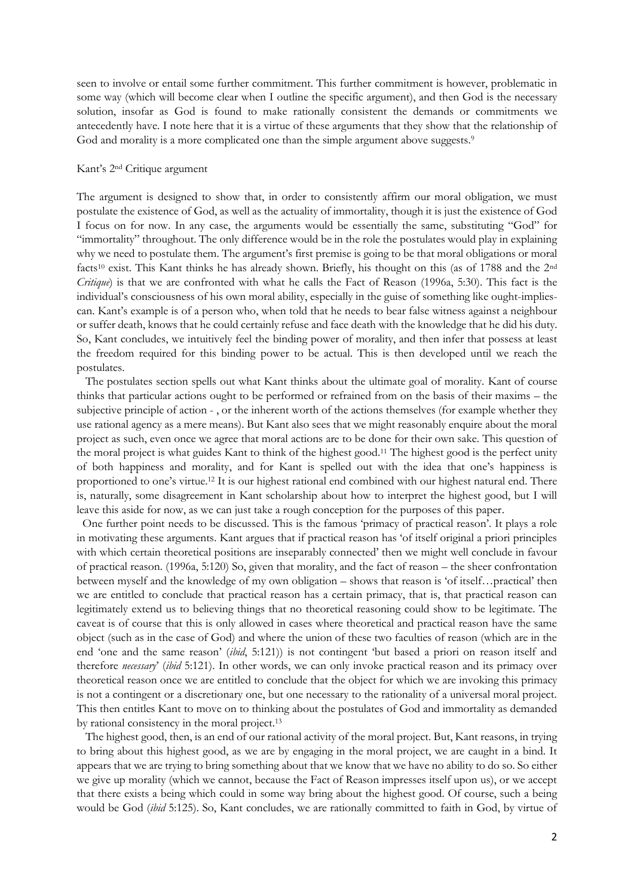seen to involve or entail some further commitment. This further commitment is however, problematic in some way (which will become clear when I outline the specific argument), and then God is the necessary solution, insofar as God is found to make rationally consistent the demands or commitments we antecedently have. I note here that it is a virtue of these arguments that they show that the relationship of God and morality is a more complicated one than the simple argument above suggests.<sup>9</sup>

## Kant's 2nd Critique argument

The argument is designed to show that, in order to consistently affirm our moral obligation, we must postulate the existence of God, as well as the actuality of immortality, though it is just the existence of God I focus on for now. In any case, the arguments would be essentially the same, substituting "God" for "immortality" throughout. The only difference would be in the role the postulates would play in explaining why we need to postulate them. The argument's first premise is going to be that moral obligations or moral facts<sup>10</sup> exist. This Kant thinks he has already shown. Briefly, his thought on this (as of 1788 and the 2nd *Critique*) is that we are confronted with what he calls the Fact of Reason (1996a, 5:30). This fact is the individual's consciousness of his own moral ability, especially in the guise of something like ought-impliescan. Kant's example is of a person who, when told that he needs to bear false witness against a neighbour or suffer death, knows that he could certainly refuse and face death with the knowledge that he did his duty. So, Kant concludes, we intuitively feel the binding power of morality, and then infer that possess at least the freedom required for this binding power to be actual. This is then developed until we reach the postulates.

 The postulates section spells out what Kant thinks about the ultimate goal of morality. Kant of course thinks that particular actions ought to be performed or refrained from on the basis of their maxims – the subjective principle of action - , or the inherent worth of the actions themselves (for example whether they use rational agency as a mere means). But Kant also sees that we might reasonably enquire about the moral project as such, even once we agree that moral actions are to be done for their own sake. This question of the moral project is what guides Kant to think of the highest good.<sup>11</sup> The highest good is the perfect unity of both happiness and morality, and for Kant is spelled out with the idea that one's happiness is proportioned to one's virtue. <sup>12</sup> It is our highest rational end combined with our highest natural end. There is, naturally, some disagreement in Kant scholarship about how to interpret the highest good, but I will leave this aside for now, as we can just take a rough conception for the purposes of this paper.

 One further point needs to be discussed. This is the famous 'primacy of practical reason'. It plays a role in motivating these arguments. Kant argues that if practical reason has 'of itself original a priori principles with which certain theoretical positions are inseparably connected' then we might well conclude in favour of practical reason. (1996a, 5:120) So, given that morality, and the fact of reason – the sheer confrontation between myself and the knowledge of my own obligation – shows that reason is 'of itself…practical' then we are entitled to conclude that practical reason has a certain primacy, that is, that practical reason can legitimately extend us to believing things that no theoretical reasoning could show to be legitimate. The caveat is of course that this is only allowed in cases where theoretical and practical reason have the same object (such as in the case of God) and where the union of these two faculties of reason (which are in the end 'one and the same reason' (*ibid*, 5:121)) is not contingent 'but based a priori on reason itself and therefore *necessary*' (*ibid* 5:121). In other words, we can only invoke practical reason and its primacy over theoretical reason once we are entitled to conclude that the object for which we are invoking this primacy is not a contingent or a discretionary one, but one necessary to the rationality of a universal moral project. This then entitles Kant to move on to thinking about the postulates of God and immortality as demanded by rational consistency in the moral project.<sup>13</sup>

 The highest good, then, is an end of our rational activity of the moral project. But, Kant reasons, in trying to bring about this highest good, as we are by engaging in the moral project, we are caught in a bind. It appears that we are trying to bring something about that we know that we have no ability to do so. So either we give up morality (which we cannot, because the Fact of Reason impresses itself upon us), or we accept that there exists a being which could in some way bring about the highest good. Of course, such a being would be God (*ibid* 5:125). So, Kant concludes, we are rationally committed to faith in God, by virtue of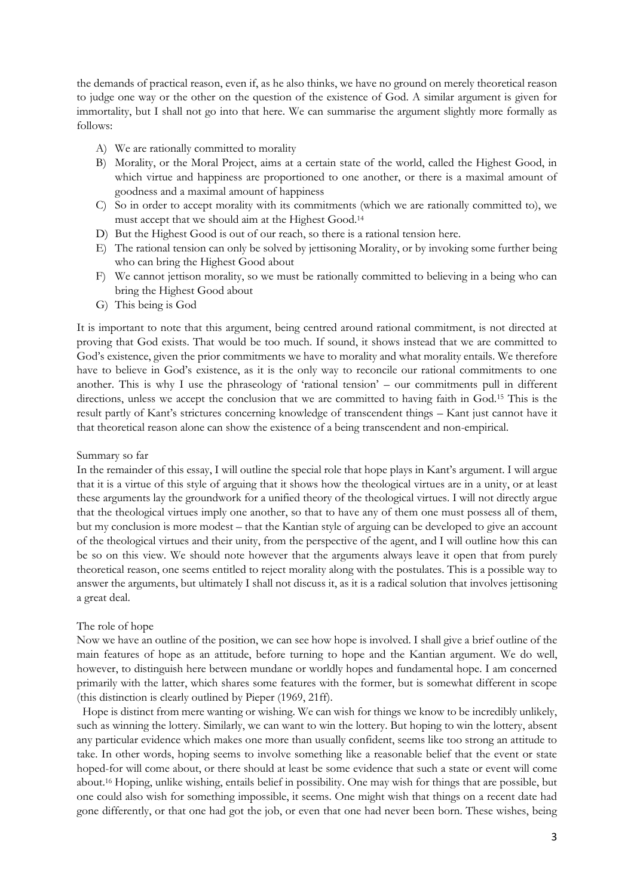the demands of practical reason, even if, as he also thinks, we have no ground on merely theoretical reason to judge one way or the other on the question of the existence of God. A similar argument is given for immortality, but I shall not go into that here. We can summarise the argument slightly more formally as follows:

- A) We are rationally committed to morality
- B) Morality, or the Moral Project, aims at a certain state of the world, called the Highest Good, in which virtue and happiness are proportioned to one another, or there is a maximal amount of goodness and a maximal amount of happiness
- C) So in order to accept morality with its commitments (which we are rationally committed to), we must accept that we should aim at the Highest Good.<sup>14</sup>
- D) But the Highest Good is out of our reach, so there is a rational tension here.
- E) The rational tension can only be solved by jettisoning Morality, or by invoking some further being who can bring the Highest Good about
- F) We cannot jettison morality, so we must be rationally committed to believing in a being who can bring the Highest Good about
- G) This being is God

It is important to note that this argument, being centred around rational commitment, is not directed at proving that God exists. That would be too much. If sound, it shows instead that we are committed to God's existence, given the prior commitments we have to morality and what morality entails. We therefore have to believe in God's existence, as it is the only way to reconcile our rational commitments to one another. This is why I use the phraseology of 'rational tension' – our commitments pull in different directions, unless we accept the conclusion that we are committed to having faith in God.<sup>15</sup> This is the result partly of Kant's strictures concerning knowledge of transcendent things – Kant just cannot have it that theoretical reason alone can show the existence of a being transcendent and non-empirical.

#### Summary so far

In the remainder of this essay, I will outline the special role that hope plays in Kant's argument. I will argue that it is a virtue of this style of arguing that it shows how the theological virtues are in a unity, or at least these arguments lay the groundwork for a unified theory of the theological virtues. I will not directly argue that the theological virtues imply one another, so that to have any of them one must possess all of them, but my conclusion is more modest – that the Kantian style of arguing can be developed to give an account of the theological virtues and their unity, from the perspective of the agent, and I will outline how this can be so on this view. We should note however that the arguments always leave it open that from purely theoretical reason, one seems entitled to reject morality along with the postulates. This is a possible way to answer the arguments, but ultimately I shall not discuss it, as it is a radical solution that involves jettisoning a great deal.

#### The role of hope

Now we have an outline of the position, we can see how hope is involved. I shall give a brief outline of the main features of hope as an attitude, before turning to hope and the Kantian argument. We do well, however, to distinguish here between mundane or worldly hopes and fundamental hope. I am concerned primarily with the latter, which shares some features with the former, but is somewhat different in scope (this distinction is clearly outlined by Pieper (1969, 21ff).

 Hope is distinct from mere wanting or wishing. We can wish for things we know to be incredibly unlikely, such as winning the lottery. Similarly, we can want to win the lottery. But hoping to win the lottery, absent any particular evidence which makes one more than usually confident, seems like too strong an attitude to take. In other words, hoping seems to involve something like a reasonable belief that the event or state hoped-for will come about, or there should at least be some evidence that such a state or event will come about.<sup>16</sup> Hoping, unlike wishing, entails belief in possibility. One may wish for things that are possible, but one could also wish for something impossible, it seems. One might wish that things on a recent date had gone differently, or that one had got the job, or even that one had never been born. These wishes, being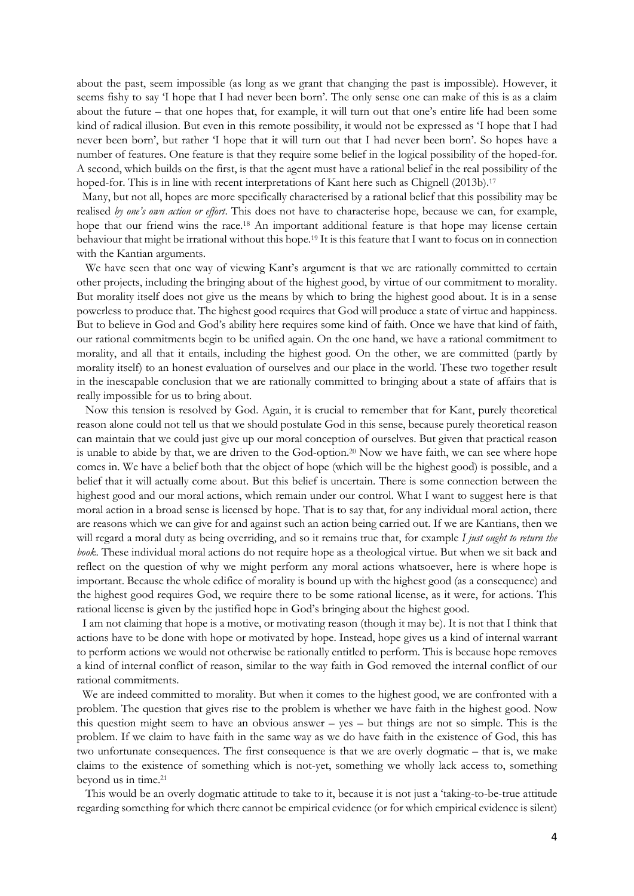about the past, seem impossible (as long as we grant that changing the past is impossible). However, it seems fishy to say 'I hope that I had never been born'. The only sense one can make of this is as a claim about the future – that one hopes that, for example, it will turn out that one's entire life had been some kind of radical illusion. But even in this remote possibility, it would not be expressed as 'I hope that I had never been born', but rather 'I hope that it will turn out that I had never been born'. So hopes have a number of features. One feature is that they require some belief in the logical possibility of the hoped-for. A second, which builds on the first, is that the agent must have a rational belief in the real possibility of the hoped-for. This is in line with recent interpretations of Kant here such as Chignell (2013b).<sup>17</sup>

 Many, but not all, hopes are more specifically characterised by a rational belief that this possibility may be realised *by one's own action or effort*. This does not have to characterise hope, because we can, for example, hope that our friend wins the race.<sup>18</sup> An important additional feature is that hope may license certain behaviour that might be irrational without this hope.<sup>19</sup> It is this feature that I want to focus on in connection with the Kantian arguments.

We have seen that one way of viewing Kant's argument is that we are rationally committed to certain other projects, including the bringing about of the highest good, by virtue of our commitment to morality. But morality itself does not give us the means by which to bring the highest good about. It is in a sense powerless to produce that. The highest good requires that God will produce a state of virtue and happiness. But to believe in God and God's ability here requires some kind of faith. Once we have that kind of faith, our rational commitments begin to be unified again. On the one hand, we have a rational commitment to morality, and all that it entails, including the highest good. On the other, we are committed (partly by morality itself) to an honest evaluation of ourselves and our place in the world. These two together result in the inescapable conclusion that we are rationally committed to bringing about a state of affairs that is really impossible for us to bring about.

 Now this tension is resolved by God. Again, it is crucial to remember that for Kant, purely theoretical reason alone could not tell us that we should postulate God in this sense, because purely theoretical reason can maintain that we could just give up our moral conception of ourselves. But given that practical reason is unable to abide by that, we are driven to the God-option.<sup>20</sup> Now we have faith, we can see where hope comes in. We have a belief both that the object of hope (which will be the highest good) is possible, and a belief that it will actually come about. But this belief is uncertain. There is some connection between the highest good and our moral actions, which remain under our control. What I want to suggest here is that moral action in a broad sense is licensed by hope. That is to say that, for any individual moral action, there are reasons which we can give for and against such an action being carried out. If we are Kantians, then we will regard a moral duty as being overriding, and so it remains true that, for example *I just ought to return the book*. These individual moral actions do not require hope as a theological virtue. But when we sit back and reflect on the question of why we might perform any moral actions whatsoever, here is where hope is important. Because the whole edifice of morality is bound up with the highest good (as a consequence) and the highest good requires God, we require there to be some rational license, as it were, for actions. This rational license is given by the justified hope in God's bringing about the highest good.

 I am not claiming that hope is a motive, or motivating reason (though it may be). It is not that I think that actions have to be done with hope or motivated by hope. Instead, hope gives us a kind of internal warrant to perform actions we would not otherwise be rationally entitled to perform. This is because hope removes a kind of internal conflict of reason, similar to the way faith in God removed the internal conflict of our rational commitments.

 We are indeed committed to morality. But when it comes to the highest good, we are confronted with a problem. The question that gives rise to the problem is whether we have faith in the highest good. Now this question might seem to have an obvious answer – yes – but things are not so simple. This is the problem. If we claim to have faith in the same way as we do have faith in the existence of God, this has two unfortunate consequences. The first consequence is that we are overly dogmatic – that is, we make claims to the existence of something which is not-yet, something we wholly lack access to, something beyond us in time.<sup>21</sup>

 This would be an overly dogmatic attitude to take to it, because it is not just a 'taking-to-be-true attitude regarding something for which there cannot be empirical evidence (or for which empirical evidence is silent)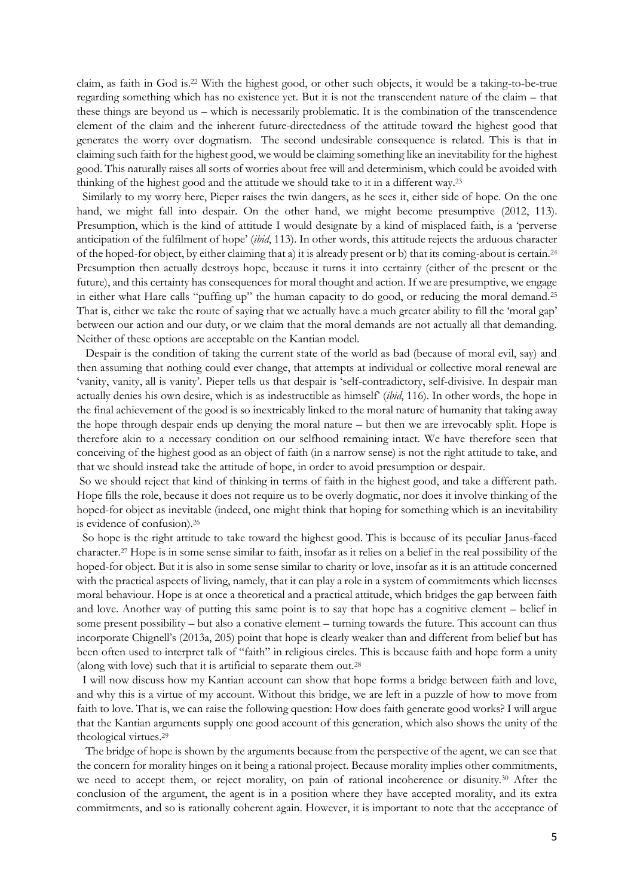claim, as faith in God is.<sup>22</sup> With the highest good, or other such objects, it would be a taking-to-be-true regarding something which has no existence yet. But it is not the transcendent nature of the claim – that these things are beyond us – which is necessarily problematic. It is the combination of the transcendence element of the claim and the inherent future-directedness of the attitude toward the highest good that generates the worry over dogmatism. The second undesirable consequence is related. This is that in claiming such faith for the highest good, we would be claiming something like an inevitability for the highest good. This naturally raises all sorts of worries about free will and determinism, which could be avoided with thinking of the highest good and the attitude we should take to it in a different way.<sup>23</sup>

 Similarly to my worry here, Pieper raises the twin dangers, as he sees it, either side of hope. On the one hand, we might fall into despair. On the other hand, we might become presumptive (2012, 113). Presumption, which is the kind of attitude I would designate by a kind of misplaced faith, is a 'perverse anticipation of the fulfilment of hope' (*ibid*, 113). In other words, this attitude rejects the arduous character of the hoped-for object, by either claiming that a) it is already present or b) that its coming-about is certain.<sup>24</sup> Presumption then actually destroys hope, because it turns it into certainty (either of the present or the future), and this certainty has consequences for moral thought and action. If we are presumptive, we engage in either what Hare calls "puffing up" the human capacity to do good, or reducing the moral demand.<sup>25</sup> That is, either we take the route of saying that we actually have a much greater ability to fill the 'moral gap' between our action and our duty, or we claim that the moral demands are not actually all that demanding. Neither of these options are acceptable on the Kantian model.

 Despair is the condition of taking the current state of the world as bad (because of moral evil, say) and then assuming that nothing could ever change, that attempts at individual or collective moral renewal are 'vanity, vanity, all is vanity'. Pieper tells us that despair is 'self-contradictory, self-divisive. In despair man actually denies his own desire, which is as indestructible as himself' (*ibid*, 116). In other words, the hope in the final achievement of the good is so inextricably linked to the moral nature of humanity that taking away the hope through despair ends up denying the moral nature – but then we are irrevocably split. Hope is therefore akin to a necessary condition on our selfhood remaining intact. We have therefore seen that conceiving of the highest good as an object of faith (in a narrow sense) is not the right attitude to take, and that we should instead take the attitude of hope, in order to avoid presumption or despair.

So we should reject that kind of thinking in terms of faith in the highest good, and take a different path. Hope fills the role, because it does not require us to be overly dogmatic, nor does it involve thinking of the hoped-for object as inevitable (indeed, one might think that hoping for something which is an inevitability is evidence of confusion).<sup>26</sup>

 So hope is the right attitude to take toward the highest good. This is because of its peculiar Janus-faced character.<sup>27</sup> Hope is in some sense similar to faith, insofar as it relies on a belief in the real possibility of the hoped-for object. But it is also in some sense similar to charity or love, insofar as it is an attitude concerned with the practical aspects of living, namely, that it can play a role in a system of commitments which licenses moral behaviour. Hope is at once a theoretical and a practical attitude, which bridges the gap between faith and love. Another way of putting this same point is to say that hope has a cognitive element – belief in some present possibility – but also a conative element – turning towards the future. This account can thus incorporate Chignell's (2013a, 205) point that hope is clearly weaker than and different from belief but has been often used to interpret talk of "faith" in religious circles. This is because faith and hope form a unity (along with love) such that it is artificial to separate them out.<sup>28</sup>

 I will now discuss how my Kantian account can show that hope forms a bridge between faith and love, and why this is a virtue of my account. Without this bridge, we are left in a puzzle of how to move from faith to love. That is, we can raise the following question: How does faith generate good works? I will argue that the Kantian arguments supply one good account of this generation, which also shows the unity of the theological virtues.<sup>29</sup>

 The bridge of hope is shown by the arguments because from the perspective of the agent, we can see that the concern for morality hinges on it being a rational project. Because morality implies other commitments, we need to accept them, or reject morality, on pain of rational incoherence or disunity.<sup>30</sup> After the conclusion of the argument, the agent is in a position where they have accepted morality, and its extra commitments, and so is rationally coherent again. However, it is important to note that the acceptance of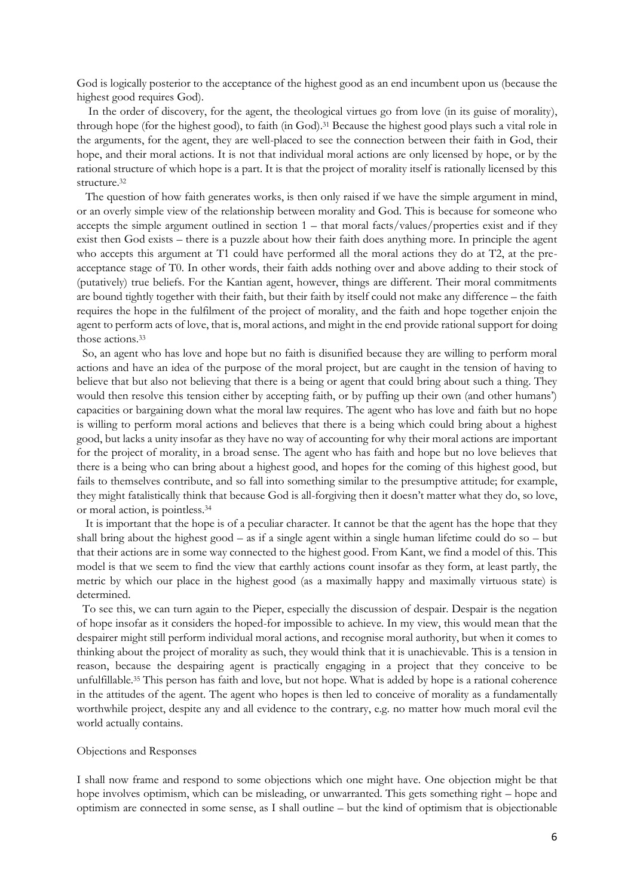God is logically posterior to the acceptance of the highest good as an end incumbent upon us (because the highest good requires God).

 In the order of discovery, for the agent, the theological virtues go from love (in its guise of morality), through hope (for the highest good), to faith (in God).<sup>31</sup> Because the highest good plays such a vital role in the arguments, for the agent, they are well-placed to see the connection between their faith in God, their hope, and their moral actions. It is not that individual moral actions are only licensed by hope, or by the rational structure of which hope is a part. It is that the project of morality itself is rationally licensed by this structure.<sup>32</sup>

 The question of how faith generates works, is then only raised if we have the simple argument in mind, or an overly simple view of the relationship between morality and God. This is because for someone who accepts the simple argument outlined in section 1 – that moral facts/values/properties exist and if they exist then God exists – there is a puzzle about how their faith does anything more. In principle the agent who accepts this argument at T1 could have performed all the moral actions they do at T2, at the preacceptance stage of T0. In other words, their faith adds nothing over and above adding to their stock of (putatively) true beliefs. For the Kantian agent, however, things are different. Their moral commitments are bound tightly together with their faith, but their faith by itself could not make any difference – the faith requires the hope in the fulfilment of the project of morality, and the faith and hope together enjoin the agent to perform acts of love, that is, moral actions, and might in the end provide rational support for doing those actions. 33

 So, an agent who has love and hope but no faith is disunified because they are willing to perform moral actions and have an idea of the purpose of the moral project, but are caught in the tension of having to believe that but also not believing that there is a being or agent that could bring about such a thing. They would then resolve this tension either by accepting faith, or by puffing up their own (and other humans') capacities or bargaining down what the moral law requires. The agent who has love and faith but no hope is willing to perform moral actions and believes that there is a being which could bring about a highest good, but lacks a unity insofar as they have no way of accounting for why their moral actions are important for the project of morality, in a broad sense. The agent who has faith and hope but no love believes that there is a being who can bring about a highest good, and hopes for the coming of this highest good, but fails to themselves contribute, and so fall into something similar to the presumptive attitude; for example, they might fatalistically think that because God is all-forgiving then it doesn't matter what they do, so love, or moral action, is pointless.<sup>34</sup>

 It is important that the hope is of a peculiar character. It cannot be that the agent has the hope that they shall bring about the highest good – as if a single agent within a single human lifetime could do so – but that their actions are in some way connected to the highest good. From Kant, we find a model of this. This model is that we seem to find the view that earthly actions count insofar as they form, at least partly, the metric by which our place in the highest good (as a maximally happy and maximally virtuous state) is determined.

 To see this, we can turn again to the Pieper, especially the discussion of despair. Despair is the negation of hope insofar as it considers the hoped-for impossible to achieve. In my view, this would mean that the despairer might still perform individual moral actions, and recognise moral authority, but when it comes to thinking about the project of morality as such, they would think that it is unachievable. This is a tension in reason, because the despairing agent is practically engaging in a project that they conceive to be unfulfillable.<sup>35</sup> This person has faith and love, but not hope. What is added by hope is a rational coherence in the attitudes of the agent. The agent who hopes is then led to conceive of morality as a fundamentally worthwhile project, despite any and all evidence to the contrary, e.g. no matter how much moral evil the world actually contains.

### Objections and Responses

I shall now frame and respond to some objections which one might have. One objection might be that hope involves optimism, which can be misleading, or unwarranted. This gets something right – hope and optimism are connected in some sense, as I shall outline – but the kind of optimism that is objectionable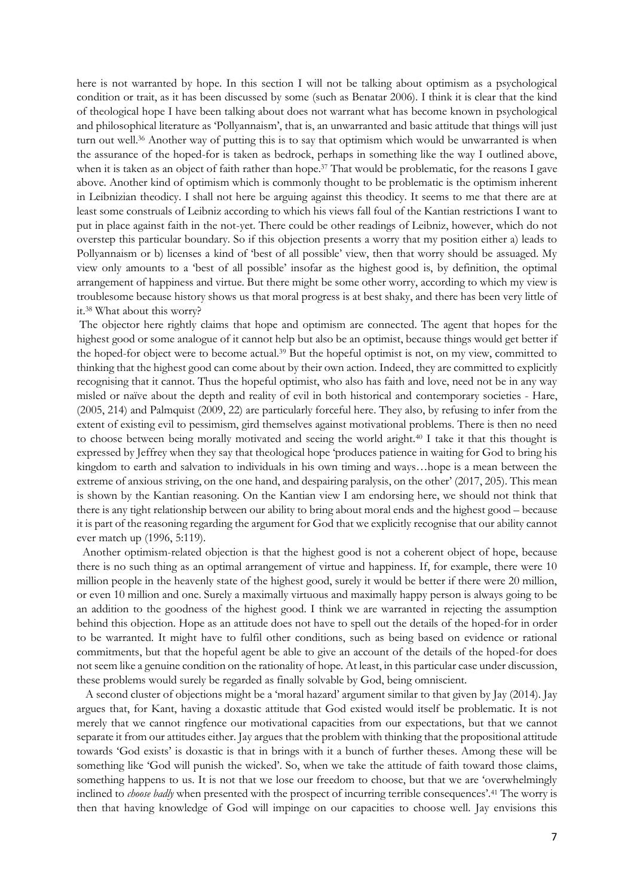here is not warranted by hope. In this section I will not be talking about optimism as a psychological condition or trait, as it has been discussed by some (such as Benatar 2006). I think it is clear that the kind of theological hope I have been talking about does not warrant what has become known in psychological and philosophical literature as 'Pollyannaism', that is, an unwarranted and basic attitude that things will just turn out well.<sup>36</sup> Another way of putting this is to say that optimism which would be unwarranted is when the assurance of the hoped-for is taken as bedrock, perhaps in something like the way I outlined above, when it is taken as an object of faith rather than hope.<sup>37</sup> That would be problematic, for the reasons I gave above. Another kind of optimism which is commonly thought to be problematic is the optimism inherent in Leibnizian theodicy. I shall not here be arguing against this theodicy. It seems to me that there are at least some construals of Leibniz according to which his views fall foul of the Kantian restrictions I want to put in place against faith in the not-yet. There could be other readings of Leibniz, however, which do not overstep this particular boundary. So if this objection presents a worry that my position either a) leads to Pollyannaism or b) licenses a kind of 'best of all possible' view, then that worry should be assuaged. My view only amounts to a 'best of all possible' insofar as the highest good is, by definition, the optimal arrangement of happiness and virtue. But there might be some other worry, according to which my view is troublesome because history shows us that moral progress is at best shaky, and there has been very little of it.<sup>38</sup> What about this worry?

The objector here rightly claims that hope and optimism are connected. The agent that hopes for the highest good or some analogue of it cannot help but also be an optimist, because things would get better if the hoped-for object were to become actual.<sup>39</sup> But the hopeful optimist is not, on my view, committed to thinking that the highest good can come about by their own action. Indeed, they are committed to explicitly recognising that it cannot. Thus the hopeful optimist, who also has faith and love, need not be in any way misled or naïve about the depth and reality of evil in both historical and contemporary societies - Hare, (2005, 214) and Palmquist (2009, 22) are particularly forceful here. They also, by refusing to infer from the extent of existing evil to pessimism, gird themselves against motivational problems. There is then no need to choose between being morally motivated and seeing the world aright.<sup>40</sup> I take it that this thought is expressed by Jeffrey when they say that theological hope 'produces patience in waiting for God to bring his kingdom to earth and salvation to individuals in his own timing and ways...hope is a mean between the extreme of anxious striving, on the one hand, and despairing paralysis, on the other' (2017, 205). This mean is shown by the Kantian reasoning. On the Kantian view I am endorsing here, we should not think that there is any tight relationship between our ability to bring about moral ends and the highest good – because it is part of the reasoning regarding the argument for God that we explicitly recognise that our ability cannot ever match up (1996, 5:119).

 Another optimism-related objection is that the highest good is not a coherent object of hope, because there is no such thing as an optimal arrangement of virtue and happiness. If, for example, there were 10 million people in the heavenly state of the highest good, surely it would be better if there were 20 million, or even 10 million and one. Surely a maximally virtuous and maximally happy person is always going to be an addition to the goodness of the highest good. I think we are warranted in rejecting the assumption behind this objection. Hope as an attitude does not have to spell out the details of the hoped-for in order to be warranted. It might have to fulfil other conditions, such as being based on evidence or rational commitments, but that the hopeful agent be able to give an account of the details of the hoped-for does not seem like a genuine condition on the rationality of hope. At least, in this particular case under discussion, these problems would surely be regarded as finally solvable by God, being omniscient.

 A second cluster of objections might be a 'moral hazard' argument similar to that given by Jay (2014). Jay argues that, for Kant, having a doxastic attitude that God existed would itself be problematic. It is not merely that we cannot ringfence our motivational capacities from our expectations, but that we cannot separate it from our attitudes either. Jay argues that the problem with thinking that the propositional attitude towards 'God exists' is doxastic is that in brings with it a bunch of further theses. Among these will be something like 'God will punish the wicked'. So, when we take the attitude of faith toward those claims, something happens to us. It is not that we lose our freedom to choose, but that we are 'overwhelmingly inclined to *choose badly* when presented with the prospect of incurring terrible consequences'.<sup>41</sup> The worry is then that having knowledge of God will impinge on our capacities to choose well. Jay envisions this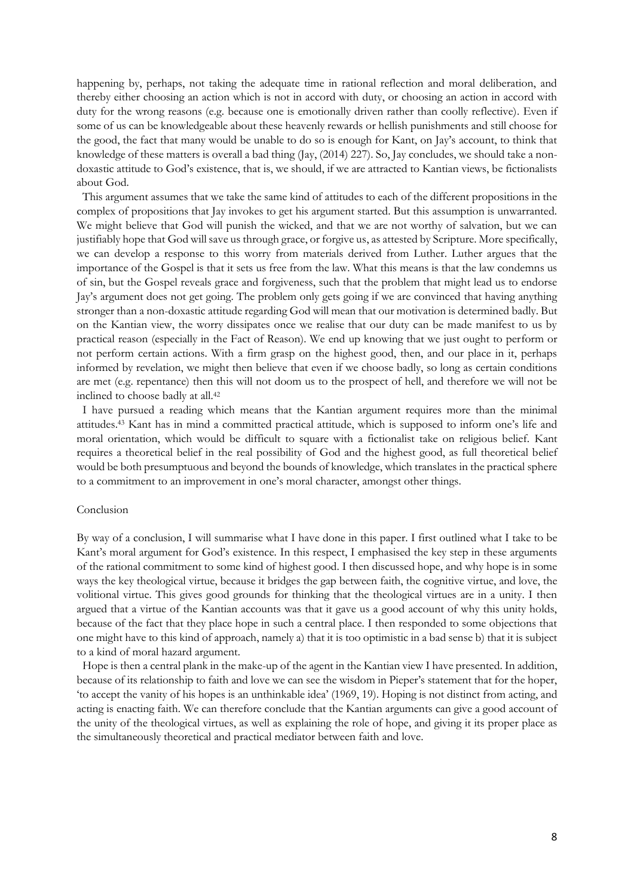happening by, perhaps, not taking the adequate time in rational reflection and moral deliberation, and thereby either choosing an action which is not in accord with duty, or choosing an action in accord with duty for the wrong reasons (e.g. because one is emotionally driven rather than coolly reflective). Even if some of us can be knowledgeable about these heavenly rewards or hellish punishments and still choose for the good, the fact that many would be unable to do so is enough for Kant, on Jay's account, to think that knowledge of these matters is overall a bad thing (Jay, (2014) 227). So, Jay concludes, we should take a nondoxastic attitude to God's existence, that is, we should, if we are attracted to Kantian views, be fictionalists about God.

 This argument assumes that we take the same kind of attitudes to each of the different propositions in the complex of propositions that Jay invokes to get his argument started. But this assumption is unwarranted. We might believe that God will punish the wicked, and that we are not worthy of salvation, but we can justifiably hope that God will save us through grace, or forgive us, as attested by Scripture. More specifically, we can develop a response to this worry from materials derived from Luther. Luther argues that the importance of the Gospel is that it sets us free from the law. What this means is that the law condemns us of sin, but the Gospel reveals grace and forgiveness, such that the problem that might lead us to endorse Jay's argument does not get going. The problem only gets going if we are convinced that having anything stronger than a non-doxastic attitude regarding God will mean that our motivation is determined badly. But on the Kantian view, the worry dissipates once we realise that our duty can be made manifest to us by practical reason (especially in the Fact of Reason). We end up knowing that we just ought to perform or not perform certain actions. With a firm grasp on the highest good, then, and our place in it, perhaps informed by revelation, we might then believe that even if we choose badly, so long as certain conditions are met (e.g. repentance) then this will not doom us to the prospect of hell, and therefore we will not be inclined to choose badly at all.<sup>42</sup>

 I have pursued a reading which means that the Kantian argument requires more than the minimal attitudes.<sup>43</sup> Kant has in mind a committed practical attitude, which is supposed to inform one's life and moral orientation, which would be difficult to square with a fictionalist take on religious belief. Kant requires a theoretical belief in the real possibility of God and the highest good, as full theoretical belief would be both presumptuous and beyond the bounds of knowledge, which translates in the practical sphere to a commitment to an improvement in one's moral character, amongst other things.

## Conclusion

By way of a conclusion, I will summarise what I have done in this paper. I first outlined what I take to be Kant's moral argument for God's existence. In this respect, I emphasised the key step in these arguments of the rational commitment to some kind of highest good. I then discussed hope, and why hope is in some ways the key theological virtue, because it bridges the gap between faith, the cognitive virtue, and love, the volitional virtue. This gives good grounds for thinking that the theological virtues are in a unity. I then argued that a virtue of the Kantian accounts was that it gave us a good account of why this unity holds, because of the fact that they place hope in such a central place. I then responded to some objections that one might have to this kind of approach, namely a) that it is too optimistic in a bad sense b) that it is subject to a kind of moral hazard argument.

 Hope is then a central plank in the make-up of the agent in the Kantian view I have presented. In addition, because of its relationship to faith and love we can see the wisdom in Pieper's statement that for the hoper, 'to accept the vanity of his hopes is an unthinkable idea' (1969, 19). Hoping is not distinct from acting, and acting is enacting faith. We can therefore conclude that the Kantian arguments can give a good account of the unity of the theological virtues, as well as explaining the role of hope, and giving it its proper place as the simultaneously theoretical and practical mediator between faith and love.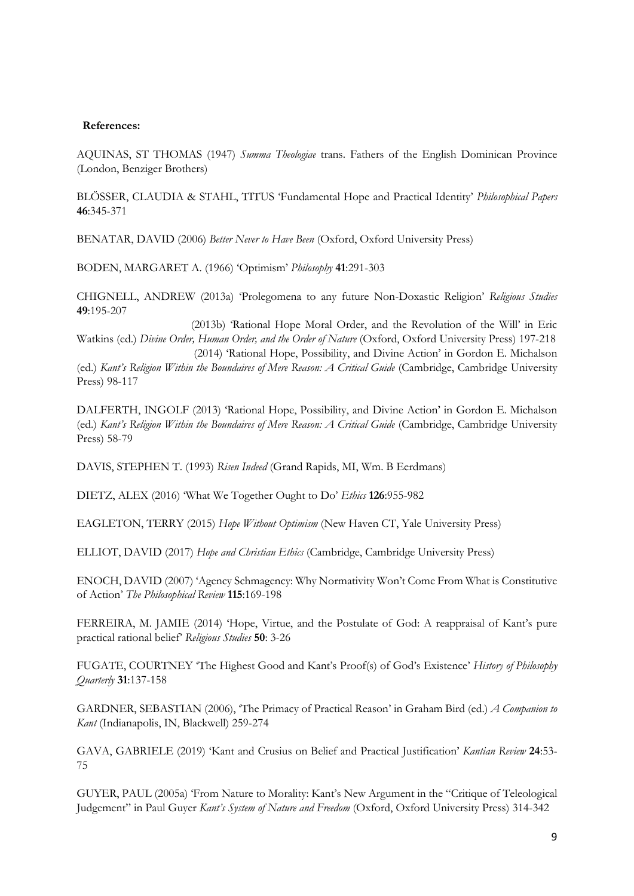## **References:**

AQUINAS, ST THOMAS (1947) *Summa Theologiae* trans. Fathers of the English Dominican Province (London, Benziger Brothers)

BLÖSSER, CLAUDIA & STAHL, TITUS 'Fundamental Hope and Practical Identity' *Philosophical Papers*  **46**:345-371

BENATAR, DAVID (2006) *Better Never to Have Been* (Oxford, Oxford University Press)

BODEN, MARGARET A. (1966) 'Optimism' *Philosophy* **41**:291-303

CHIGNELL, ANDREW (2013a) 'Prolegomena to any future Non-Doxastic Religion' *Religious Studies*  **49**:195-207

 (2013b) 'Rational Hope Moral Order, and the Revolution of the Will' in Eric Watkins (ed.) *Divine Order, Human Order, and the Order of Nature* (Oxford, Oxford University Press) 197-218 (2014) 'Rational Hope, Possibility, and Divine Action' in Gordon E. Michalson (ed.) *Kant's Religion Within the Boundaires of Mere Reason: A Critical Guide* (Cambridge, Cambridge University Press) 98-117

DALFERTH, INGOLF (2013) 'Rational Hope, Possibility, and Divine Action' in Gordon E. Michalson (ed.) *Kant's Religion Within the Boundaires of Mere Reason: A Critical Guide* (Cambridge, Cambridge University Press) 58-79

DAVIS, STEPHEN T. (1993) *Risen Indeed* (Grand Rapids, MI, Wm. B Eerdmans)

DIETZ, ALEX (2016) 'What We Together Ought to Do' *Ethics* **126**:955-982

EAGLETON, TERRY (2015) *Hope Without Optimism* (New Haven CT, Yale University Press)

ELLIOT, DAVID (2017) *Hope and Christian Ethics* (Cambridge, Cambridge University Press)

ENOCH, DAVID (2007) 'Agency Schmagency: Why Normativity Won't Come From What is Constitutive of Action' *The Philosophical Review* **115**:169-198

FERREIRA, M. JAMIE (2014) 'Hope, Virtue, and the Postulate of God: A reappraisal of Kant's pure practical rational belief' *Religious Studies* **50**: 3-26

FUGATE, COURTNEY 'The Highest Good and Kant's Proof(s) of God's Existence' *History of Philosophy Quarterly* **31**:137-158

GARDNER, SEBASTIAN (2006), 'The Primacy of Practical Reason' in Graham Bird (ed.) *A Companion to Kant* (Indianapolis, IN, Blackwell) 259-274

GAVA, GABRIELE (2019) 'Kant and Crusius on Belief and Practical Justification' *Kantian Review* **24**:53- 75

GUYER, PAUL (2005a) 'From Nature to Morality: Kant's New Argument in the "Critique of Teleological Judgement" in Paul Guyer *Kant's System of Nature and Freedom* (Oxford, Oxford University Press) 314-342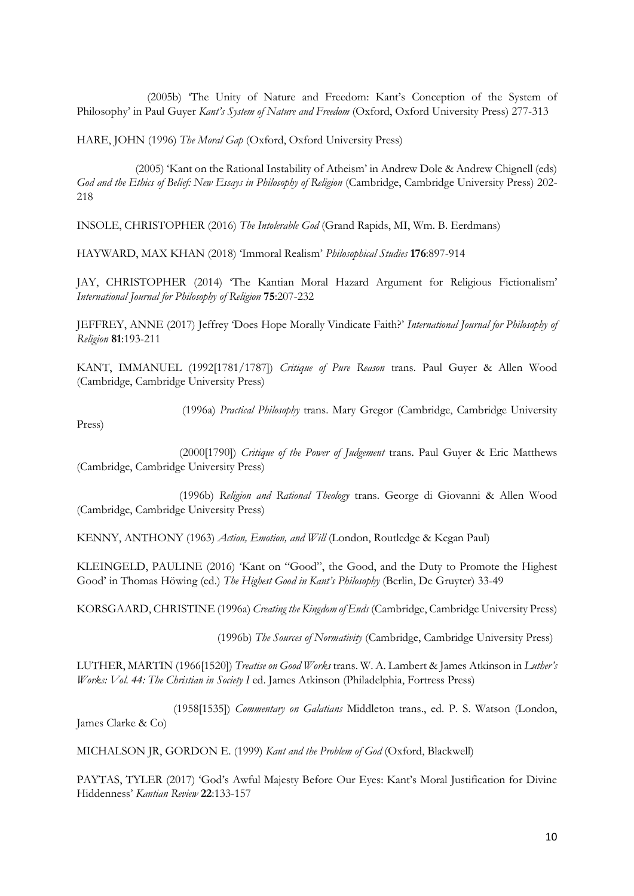(2005b) 'The Unity of Nature and Freedom: Kant's Conception of the System of Philosophy' in Paul Guyer *Kant's System of Nature and Freedom* (Oxford, Oxford University Press) 277-313

HARE, JOHN (1996) *The Moral Gap* (Oxford, Oxford University Press)

 (2005) 'Kant on the Rational Instability of Atheism' in Andrew Dole & Andrew Chignell (eds) *God and the Ethics of Belief: New Essays in Philosophy of Religion* (Cambridge, Cambridge University Press) 202- 218

INSOLE, CHRISTOPHER (2016) *The Intolerable God* (Grand Rapids, MI, Wm. B. Eerdmans)

HAYWARD, MAX KHAN (2018) 'Immoral Realism' *Philosophical Studies* **176**:897-914

JAY, CHRISTOPHER (2014) 'The Kantian Moral Hazard Argument for Religious Fictionalism' *International Journal for Philosophy of Religion* **75**:207-232

JEFFREY, ANNE (2017) Jeffrey 'Does Hope Morally Vindicate Faith?' *International Journal for Philosophy of Religion* **81**:193-211

KANT, IMMANUEL (1992[1781/1787]) *Critique of Pure Reason* trans. Paul Guyer & Allen Wood (Cambridge, Cambridge University Press)

Press)

(1996a) *Practical Philosophy* trans. Mary Gregor (Cambridge, Cambridge University

 (2000[1790]) *Critique of the Power of Judgement* trans. Paul Guyer & Eric Matthews (Cambridge, Cambridge University Press)

 (1996b) *Religion and Rational Theology* trans. George di Giovanni & Allen Wood (Cambridge, Cambridge University Press)

KENNY, ANTHONY (1963) *Action, Emotion, and Will* (London, Routledge & Kegan Paul)

KLEINGELD, PAULINE (2016) 'Kant on "Good", the Good, and the Duty to Promote the Highest Good' in Thomas Höwing (ed.) *The Highest Good in Kant's Philosophy* (Berlin, De Gruyter) 33-49

KORSGAARD, CHRISTINE (1996a) *Creating the Kingdom of Ends* (Cambridge, Cambridge University Press)

(1996b) *The Sources of Normativity* (Cambridge, Cambridge University Press)

LUTHER, MARTIN (1966[1520]) *Treatise on Good Works* trans. W. A. Lambert & James Atkinson in *Luther's Works: Vol. 44: The Christian in Society I* ed. James Atkinson (Philadelphia, Fortress Press)

 (1958[1535]) *Commentary on Galatians* Middleton trans., ed. P. S. Watson (London, James Clarke & Co)

MICHALSON JR, GORDON E. (1999) *Kant and the Problem of God* (Oxford, Blackwell)

PAYTAS, TYLER (2017) 'God's Awful Majesty Before Our Eyes: Kant's Moral Justification for Divine Hiddenness' *Kantian Review* **22**:133-157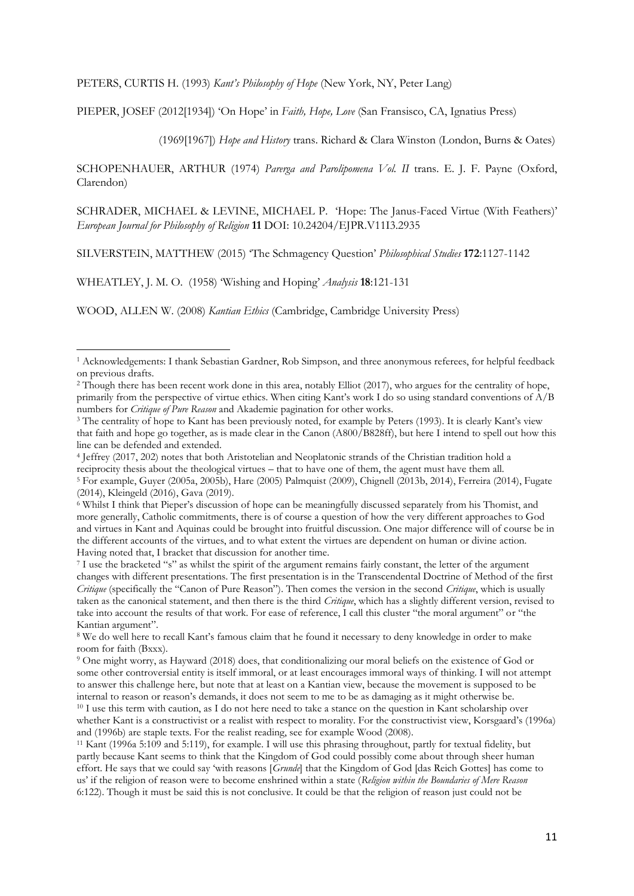PETERS, CURTIS H. (1993) *Kant's Philosophy of Hope* (New York, NY, Peter Lang)

PIEPER, JOSEF (2012[1934]) 'On Hope' in *Faith, Hope, Love* (San Fransisco, CA, Ignatius Press)

(1969[1967]) *Hope and History* trans. Richard & Clara Winston (London, Burns & Oates)

SCHOPENHAUER, ARTHUR (1974) *Parerga and Parolipomena Vol. II* trans. E. J. F. Payne (Oxford, Clarendon)

SCHRADER, MICHAEL & LEVINE, MICHAEL P. 'Hope: The Janus-Faced Virtue (With Feathers)' *European Journal for Philosophy of Religion* **11** DOI: 10.24204/EJPR.V11I3.2935

SILVERSTEIN, MATTHEW (2015) 'The Schmagency Question' *Philosophical Studies* **172**:1127-1142

WHEATLEY, J. M. O. (1958) 'Wishing and Hoping' *Analysis* **18**:121-131

1

WOOD, ALLEN W. (2008) *Kantian Ethics* (Cambridge, Cambridge University Press)

<sup>1</sup> Acknowledgements: I thank Sebastian Gardner, Rob Simpson, and three anonymous referees, for helpful feedback on previous drafts.

<sup>2</sup> Though there has been recent work done in this area, notably Elliot (2017), who argues for the centrality of hope, primarily from the perspective of virtue ethics. When citing Kant's work I do so using standard conventions of A/B numbers for *Critique of Pure Reason* and Akademie pagination for other works.

<sup>&</sup>lt;sup>3</sup> The centrality of hope to Kant has been previously noted, for example by Peters (1993). It is clearly Kant's view that faith and hope go together, as is made clear in the Canon (A800/B828ff), but here I intend to spell out how this line can be defended and extended.

<sup>4</sup> Jeffrey (2017, 202) notes that both Aristotelian and Neoplatonic strands of the Christian tradition hold a reciprocity thesis about the theological virtues – that to have one of them, the agent must have them all. <sup>5</sup> For example, Guyer (2005a, 2005b), Hare (2005) Palmquist (2009), Chignell (2013b, 2014), Ferreira (2014), Fugate (2014), Kleingeld (2016), Gava (2019).

<sup>6</sup> Whilst I think that Pieper's discussion of hope can be meaningfully discussed separately from his Thomist, and more generally, Catholic commitments, there is of course a question of how the very different approaches to God and virtues in Kant and Aquinas could be brought into fruitful discussion. One major difference will of course be in the different accounts of the virtues, and to what extent the virtues are dependent on human or divine action. Having noted that, I bracket that discussion for another time.

<sup>7</sup> I use the bracketed "s" as whilst the spirit of the argument remains fairly constant, the letter of the argument changes with different presentations. The first presentation is in the Transcendental Doctrine of Method of the first *Critique* (specifically the "Canon of Pure Reason"). Then comes the version in the second *Critique*, which is usually taken as the canonical statement, and then there is the third *Critique*, which has a slightly different version, revised to take into account the results of that work. For ease of reference, I call this cluster "the moral argument" or "the Kantian argument".

<sup>8</sup> We do well here to recall Kant's famous claim that he found it necessary to deny knowledge in order to make room for faith (Bxxx).

<sup>9</sup> One might worry, as Hayward (2018) does, that conditionalizing our moral beliefs on the existence of God or some other controversial entity is itself immoral, or at least encourages immoral ways of thinking. I will not attempt to answer this challenge here, but note that at least on a Kantian view, because the movement is supposed to be internal to reason or reason's demands, it does not seem to me to be as damaging as it might otherwise be. <sup>10</sup> I use this term with caution, as I do not here need to take a stance on the question in Kant scholarship over

whether Kant is a constructivist or a realist with respect to morality. For the constructivist view, Korsgaard's (1996a) and (1996b) are staple texts. For the realist reading, see for example Wood (2008).

<sup>11</sup> Kant (1996a 5:109 and 5:119), for example. I will use this phrasing throughout, partly for textual fidelity, but partly because Kant seems to think that the Kingdom of God could possibly come about through sheer human effort. He says that we could say 'with reasons [*Grunde*] that the Kingdom of God [das Reich Gottes] has come to us' if the religion of reason were to become enshrined within a state (*Religion within the Boundaries of Mere Reason* 6:122). Though it must be said this is not conclusive. It could be that the religion of reason just could not be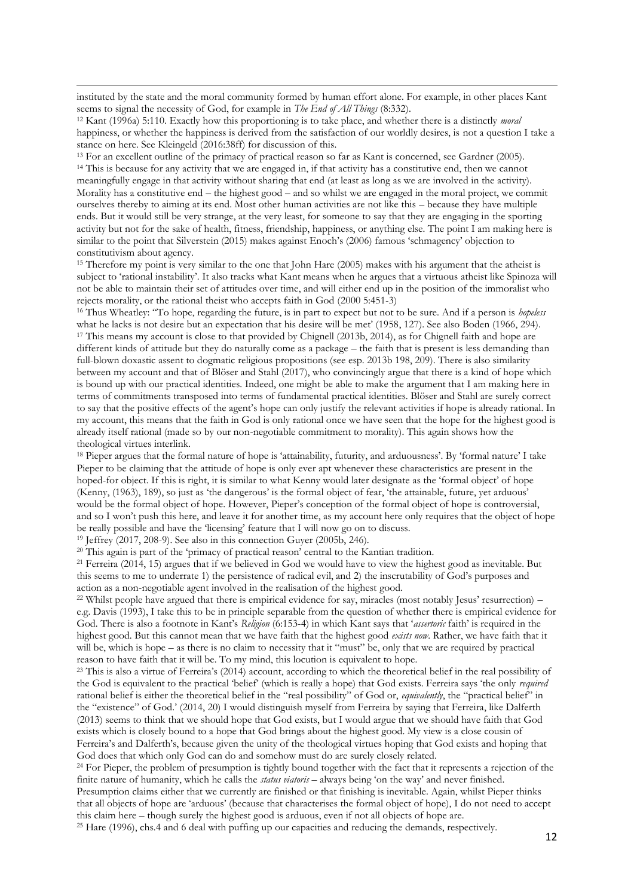instituted by the state and the moral community formed by human effort alone. For example, in other places Kant seems to signal the necessity of God, for example in *The End of All Things* (8:332).

<sup>12</sup> Kant (1996a) 5:110. Exactly how this proportioning is to take place, and whether there is a distinctly *moral*  happiness, or whether the happiness is derived from the satisfaction of our worldly desires, is not a question I take a stance on here. See Kleingeld (2016:38ff) for discussion of this.

<sup>13</sup> For an excellent outline of the primacy of practical reason so far as Kant is concerned, see Gardner (2005). <sup>14</sup> This is because for any activity that we are engaged in, if that activity has a constitutive end, then we cannot meaningfully engage in that activity without sharing that end (at least as long as we are involved in the activity). Morality has a constitutive end – the highest good – and so whilst we are engaged in the moral project, we commit ourselves thereby to aiming at its end. Most other human activities are not like this – because they have multiple

ends. But it would still be very strange, at the very least, for someone to say that they are engaging in the sporting activity but not for the sake of health, fitness, friendship, happiness, or anything else. The point I am making here is similar to the point that Silverstein (2015) makes against Enoch's (2006) famous 'schmagency' objection to constitutivism about agency.

<sup>15</sup> Therefore my point is very similar to the one that John Hare (2005) makes with his argument that the atheist is subject to 'rational instability'. It also tracks what Kant means when he argues that a virtuous atheist like Spinoza will not be able to maintain their set of attitudes over time, and will either end up in the position of the immoralist who rejects morality, or the rational theist who accepts faith in God (2000 5:451-3)

<sup>16</sup> Thus Wheatley: ''To hope, regarding the future, is in part to expect but not to be sure. And if a person is *hopeless* what he lacks is not desire but an expectation that his desire will be met' (1958, 127). See also Boden (1966, 294). <sup>17</sup> This means my account is close to that provided by Chignell (2013b, 2014), as for Chignell faith and hope are different kinds of attitude but they do naturally come as a package – the faith that is present is less demanding than full-blown doxastic assent to dogmatic religious propositions (see esp. 2013b 198, 209). There is also similarity between my account and that of Blöser and Stahl (2017), who convincingly argue that there is a kind of hope which is bound up with our practical identities. Indeed, one might be able to make the argument that I am making here in terms of commitments transposed into terms of fundamental practical identities. Blöser and Stahl are surely correct to say that the positive effects of the agent's hope can only justify the relevant activities if hope is already rational. In my account, this means that the faith in God is only rational once we have seen that the hope for the highest good is already itself rational (made so by our non-negotiable commitment to morality). This again shows how the theological virtues interlink.

<sup>18</sup> Pieper argues that the formal nature of hope is 'attainability, futurity, and arduousness'. By 'formal nature' I take Pieper to be claiming that the attitude of hope is only ever apt whenever these characteristics are present in the hoped-for object. If this is right, it is similar to what Kenny would later designate as the 'formal object' of hope (Kenny, (1963), 189), so just as 'the dangerous' is the formal object of fear, 'the attainable, future, yet arduous' would be the formal object of hope. However, Pieper's conception of the formal object of hope is controversial, and so I won't push this here, and leave it for another time, as my account here only requires that the object of hope be really possible and have the 'licensing' feature that I will now go on to discuss.

<sup>19</sup> Jeffrey (2017, 208-9). See also in this connection Guyer (2005b, 246).

**.** 

<sup>20</sup> This again is part of the 'primacy of practical reason' central to the Kantian tradition.

<sup>21</sup> Ferreira (2014, 15) argues that if we believed in God we would have to view the highest good as inevitable. But this seems to me to underrate 1) the persistence of radical evil, and 2) the inscrutability of God's purposes and action as a non-negotiable agent involved in the realisation of the highest good.

<sup>22</sup> Whilst people have argued that there is empirical evidence for say, miracles (most notably Jesus' resurrection) – e.g. Davis (1993), I take this to be in principle separable from the question of whether there is empirical evidence for God. There is also a footnote in Kant's *Religion* (6:153-4) in which Kant says that '*assertoric* faith' is required in the highest good. But this cannot mean that we have faith that the highest good *exists now*. Rather, we have faith that it will be, which is hope – as there is no claim to necessity that it "must" be, only that we are required by practical reason to have faith that it will be. To my mind, this locution is equivalent to hope.

<sup>23</sup> This is also a virtue of Ferreira's (2014) account, according to which the theoretical belief in the real possibility of the God is equivalent to the practical 'belief' (which is really a hope) that God exists. Ferreira says 'the only *required*  rational belief is either the theoretical belief in the "real possibility" of God or, *equivalently*, the "practical belief" in the "existence" of God.' (2014, 20) I would distinguish myself from Ferreira by saying that Ferreira, like Dalferth (2013) seems to think that we should hope that God exists, but I would argue that we should have faith that God exists which is closely bound to a hope that God brings about the highest good. My view is a close cousin of Ferreira's and Dalferth's, because given the unity of the theological virtues hoping that God exists and hoping that God does that which only God can do and somehow must do are surely closely related.

 $24$  For Pieper, the problem of presumption is tightly bound together with the fact that it represents a rejection of the finite nature of humanity, which he calls the *status viatoris* – always being 'on the way' and never finished.

Presumption claims either that we currently are finished or that finishing is inevitable. Again, whilst Pieper thinks that all objects of hope are 'arduous' (because that characterises the formal object of hope), I do not need to accept this claim here – though surely the highest good is arduous, even if not all objects of hope are.

<sup>25</sup> Hare (1996), chs.4 and 6 deal with puffing up our capacities and reducing the demands, respectively.